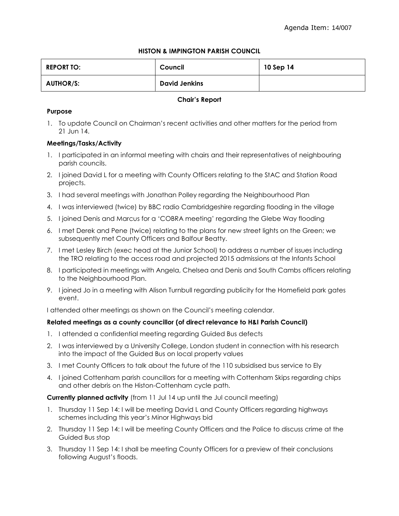# **HISTON & IMPINGTON PARISH COUNCIL**

| <b>REPORT TO:</b> | Council              | 10 Sep 14 |
|-------------------|----------------------|-----------|
| <b>AUTHOR/S:</b>  | <b>David Jenkins</b> |           |

## **Chair's Report**

# **Purpose**

1. To update Council on Chairman's recent activities and other matters for the period from 21 Jun 14.

# **Meetings/Tasks/Activity**

- 1. I participated in an informal meeting with chairs and their representatives of neighbouring parish councils.
- 2. I joined David L for a meeting with County Officers relating to the StAC and Station Road projects.
- 3. I had several meetings with Jonathan Polley regarding the Neighbourhood Plan
- 4. I was interviewed (twice) by BBC radio Cambridgeshire regarding flooding in the village
- 5. I joined Denis and Marcus for a 'COBRA meeting' regarding the Glebe Way flooding
- 6. I met Derek and Pene (twice) relating to the plans for new street lights on the Green; we subsequently met County Officers and Balfour Beatty.
- 7. I met Lesley Birch (exec head at the Junior School) to address a number of issues including the TRO relating to the access road and projected 2015 admissions at the Infants School
- 8. I participated in meetings with Angela, Chelsea and Denis and South Cambs officers relating to the Neighbourhood Plan.
- 9. I joined Jo in a meeting with Alison Turnbull regarding publicity for the Homefield park gates event.

I attended other meetings as shown on the Council's meeting calendar.

## **Related meetings as a county councillor (of direct relevance to H&I Parish Council)**

- 1. I attended a confidential meeting regarding Guided Bus defects
- 2. I was interviewed by a University College, London student in connection with his research into the impact of the Guided Bus on local property values
- 3. I met County Officers to talk about the future of the 110 subsidised bus service to Ely
- 4. I joined Cottenham parish councillors for a meeting with Cottenham Skips regarding chips and other debris on the Histon-Cottenham cycle path.

**Currently planned activity** (from 11 Jul 14 up until the Jul council meeting)

- 1. Thursday 11 Sep 14: I will be meeting David L and County Officers regarding highways schemes including this year's Minor Highways bid
- 2. Thursday 11 Sep 14: I will be meeting County Officers and the Police to discuss crime at the Guided Bus stop
- 3. Thursday 11 Sep 14: I shall be meeting County Officers for a preview of their conclusions following August's floods.